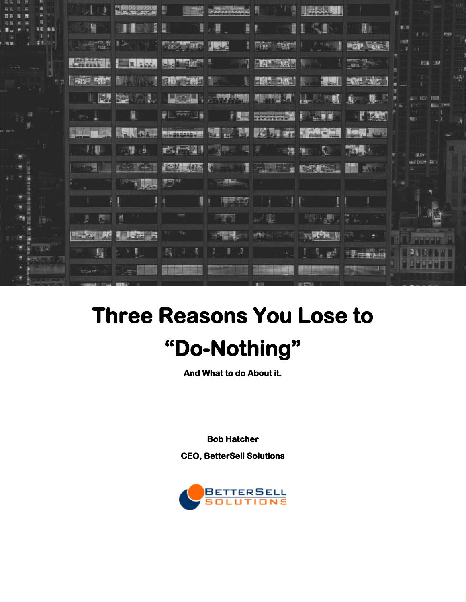|   | <b>FE 85</b> | ā                           | Ħ                           | Щ                  | E                           | Ì<br>и                     | ್ಲ<br>ᇍ                   | Nr.                   | <b>U</b> LIT<br>取得<br>1.35 |
|---|--------------|-----------------------------|-----------------------------|--------------------|-----------------------------|----------------------------|---------------------------|-----------------------|----------------------------|
|   |              | $\frac{1}{2}$ $\frac{1}{2}$ |                             | 安心表                | <b>Classic</b>              | <b>EDWAY</b><br><b>THE</b> |                           | <b>BOARD PERSONAL</b> | <b>IES</b>                 |
|   |              | $-$                         | <b>BELLEVILLE</b>           |                    |                             | <b>THE REPORT</b>          |                           | $\frac{1}{1000}$      | <b>ESI 39</b>              |
|   | 石顶           | 司宇 5歳気                      | s and<br><b>BEERWAY</b>     | <b>民族集中的身</b>      | A.<br>翻訳社                   | 高路 三線                      |                           | <b>BOOK BAGS!</b>     |                            |
|   |              | <b>IN DREAM</b>             | <b>File</b>                 |                    | LEEL CHIPPE                 | V.<br><b>All Desert of</b> | 騆<br>kar.                 | 唐 界                   |                            |
| 昌 |              |                             |                             | <b>All Arts TA</b> | <b>PRES</b>                 | <b>REGISTER</b>            | <b>Bally</b>              | $-1$ $\sqrt{2}$       |                            |
|   |              | <b>MARKET</b>               | $\sqrt{2\pi\Delta t}$<br>雅恩 | <b>Hugenston</b>   | <b>Basic</b><br><b>GALL</b> | <b>REAL PROPERTY</b>       |                           | $\frac{1}{2}$ then    |                            |
|   |              |                             |                             | 我们不是!!!            | $-3/15$                     | ≍裸                         | 羅<br>s.                   | 23.14                 | 認定か                        |
|   |              |                             |                             |                    |                             | →大胆スキー                     | $12.32$ $12.33$           | <b>THE SECOND</b>     | and Died Bill              |
|   |              |                             |                             | 医学                 | $\rightarrow$ $\triangle$   |                            |                           |                       |                            |
|   |              |                             |                             |                    | <b>The St</b>               |                            |                           |                       |                            |
|   | 開け           |                             |                             |                    |                             |                            |                           | R                     |                            |
|   |              | <b>Basic</b><br>ليتأدك      | 腊                           |                    |                             |                            |                           |                       |                            |
|   |              | 野                           |                             | 嗎                  | A                           |                            | $\mathbf{m}^{\mathrm{d}}$ | <b>FRIENDAL</b>       |                            |
|   |              | <b>TESTAR</b>               |                             |                    |                             |                            |                           |                       |                            |
|   |              |                             |                             |                    |                             |                            |                           |                       |                            |

# **Three Reasons You Lose to "Do-Nothing"**

**And What to do About it.** 

**Bob Hatcher** 

**CEO, BetterSell Solutions** 

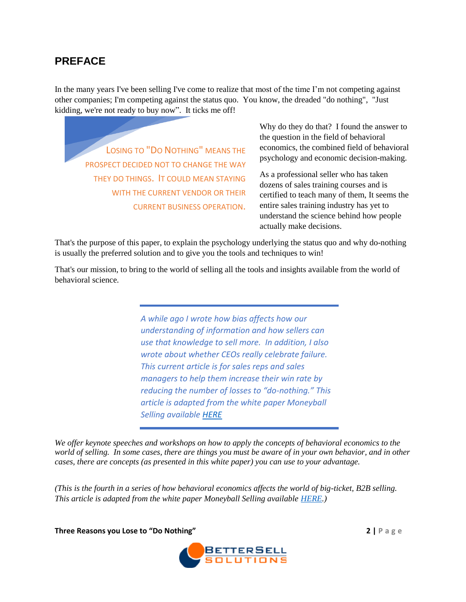## **PREFACE**

In the many years I've been selling I've come to realize that most of the time I'm not competing against other companies; I'm competing against the status quo. You know, the dreaded "do nothing", "Just kidding, we're not ready to buy now". It ticks me off!

LOSING TO "DO NOTHING" MEANS THE PROSPECT DECIDED NOT TO CHANGE THE WAY THEY DO THINGS. IT COULD MEAN STAYING WITH THE CURRENT VENDOR OR THEIR CURRENT BUSINESS OPERATION.

Why do they do that? I found the answer to the question in the field of behavioral economics, the combined field of behavioral psychology and economic decision-making.

As a professional seller who has taken dozens of sales training courses and is certified to teach many of them, It seems the entire sales training industry has yet to understand the science behind how people actually make decisions.

That's the purpose of this paper, to explain the psychology underlying the status quo and why do-nothing is usually the preferred solution and to give you the tools and techniques to win!

That's our mission, to bring to the world of selling all the tools and insights available from the world of behavioral science.

> *A while ago I wrote how bias affects how our understanding of information and how sellers can use that knowledge to sell more. In addition, I also wrote about whether CEOs really celebrate failure. This current article is for sales reps and sales managers to help them increase their win rate by reducing the number of losses to "do-nothing." This article is adapted from the white paper Moneyball Selling available [HERE](http://www.bettersellsolutions.com/resources/)*

*We offer keynote speeches and workshops on how to apply the concepts of behavioral economics to the world of selling. In some cases, there are things you must be aware of in your own behavior, and in other cases, there are concepts (as presented in this white paper) you can use to your advantage.*

*(This is the fourth in a series of how behavioral economics affects the world of big-ticket, B2B selling. This article is adapted from the white paper Moneyball Selling available [HERE.](https://www.bettersellsolutions.com/resources/))*

**Three Reasons you Lose to "Do Nothing" 2 | P a g e**

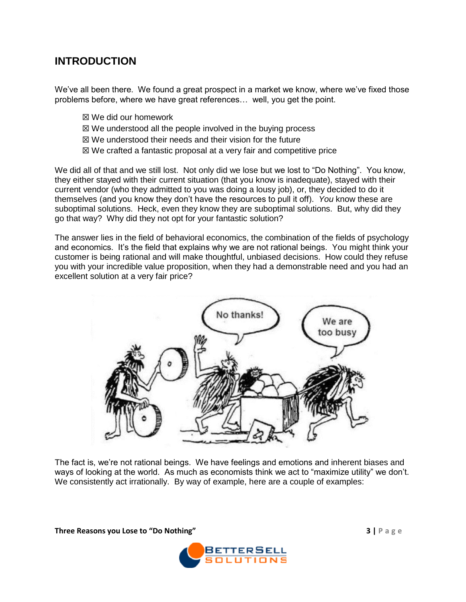# **INTRODUCTION**

We've all been there. We found a great prospect in a market we know, where we've fixed those problems before, where we have great references… well, you get the point.

- ☒ We did our homework
- ☒ We understood all the people involved in the buying process
- ☒ We understood their needs and their vision for the future
- ☒ We crafted a fantastic proposal at a very fair and competitive price

We did all of that and we still lost. Not only did we lose but we lost to "Do Nothing". You know, they either stayed with their current situation (that you know is inadequate), stayed with their current vendor (who they admitted to you was doing a lousy job), or, they decided to do it themselves (and you know they don't have the resources to pull it off). *You* know these are suboptimal solutions. Heck, even they know they are suboptimal solutions. But, why did they go that way? Why did they not opt for your fantastic solution?

The answer lies in the field of behavioral economics, the combination of the fields of psychology and economics. It's the field that explains why we are not rational beings. You might think your customer is being rational and will make thoughtful, unbiased decisions. How could they refuse you with your incredible value proposition, when they had a demonstrable need and you had an excellent solution at a very fair price?



The fact is, we're not rational beings. We have feelings and emotions and inherent biases and ways of looking at the world. As much as economists think we act to "maximize utility" we don't. We consistently act irrationally. By way of example, here are a couple of examples:

**Three Reasons you Lose to "Do Nothing" 3 | P a g e**

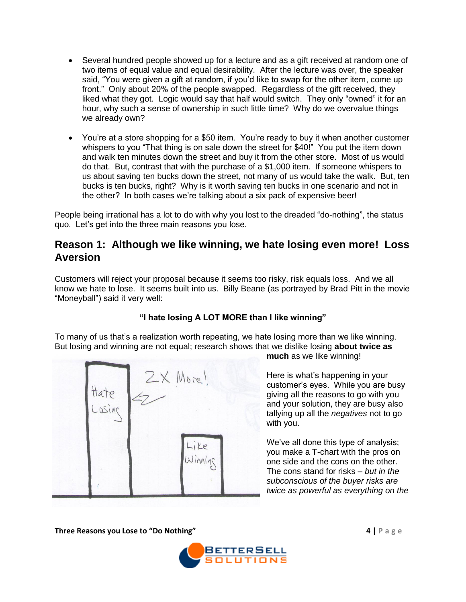- Several hundred people showed up for a lecture and as a gift received at random one of two items of equal value and equal desirability. After the lecture was over, the speaker said, "You were given a gift at random, if you'd like to swap for the other item, come up front." Only about 20% of the people swapped. Regardless of the gift received, they liked what they got. Logic would say that half would switch. They only "owned" it for an hour, why such a sense of ownership in such little time? Why do we overvalue things we already own?
- You're at a store shopping for a \$50 item. You're ready to buy it when another customer whispers to you "That thing is on sale down the street for \$40!" You put the item down and walk ten minutes down the street and buy it from the other store. Most of us would do that. But, contrast that with the purchase of a \$1,000 item. If someone whispers to us about saving ten bucks down the street, not many of us would take the walk. But, ten bucks is ten bucks, right? Why is it worth saving ten bucks in one scenario and not in the other? In both cases we're talking about a six pack of expensive beer!

People being irrational has a lot to do with why you lost to the dreaded "do-nothing", the status quo. Let's get into the three main reasons you lose.

## **Reason 1: Although we like winning, we hate losing even more! Loss Aversion**

Customers will reject your proposal because it seems too risky, risk equals loss. And we all know we hate to lose. It seems built into us. Billy Beane (as portrayed by Brad Pitt in the movie "Moneyball") said it very well:

#### **"I hate losing A LOT MORE than I like winning"**

To many of us that's a realization worth repeating, we hate losing more than we like winning. But losing and winning are not equal; research shows that we dislike losing **about twice as** 



**much** as we like winning!

Here is what's happening in your customer's eyes. While you are busy giving all the reasons to go with you and your solution, they are busy also tallying up all the *negatives* not to go with you.

We've all done this type of analysis; you make a T-chart with the pros on one side and the cons on the other. The cons stand for risks – *but in the subconscious of the buyer risks are twice as powerful as everything on the* 

**Three Reasons you Lose to "Do Nothing" 4 | P a g e**

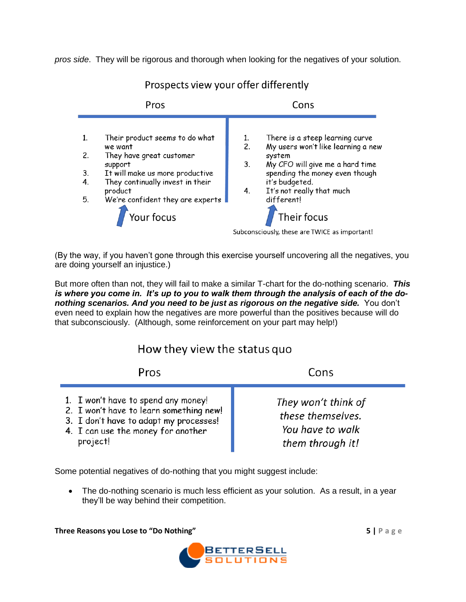*pros side*. They will be rigorous and thorough when looking for the negatives of your solution.



Prospects view your offer differently

(By the way, if you haven't gone through this exercise yourself uncovering all the negatives, you are doing yourself an injustice.)

But more often than not, they will fail to make a similar T-chart for the do-nothing scenario. *This is where you come in. It's up to you to walk them through the analysis of each of the donothing scenarios. And you need to be just as rigorous on the negative side.* You don't even need to explain how the negatives are more powerful than the positives because will do that subconsciously. (Although, some reinforcement on your part may help!)

# How they view the status quo

| Pros                                                                                                                                                                       | Cons                                                                             |
|----------------------------------------------------------------------------------------------------------------------------------------------------------------------------|----------------------------------------------------------------------------------|
| 1. I won't have to spend any money!<br>2. I won't have to learn something new!<br>3. I don't have to adapt my processes!<br>4. I can use the money for another<br>project! | They won't think of<br>these themselves.<br>You have to walk<br>them through it! |

Some potential negatives of do-nothing that you might suggest include:

• The do-nothing scenario is much less efficient as your solution. As a result, in a year they'll be way behind their competition.

**Three Reasons you Lose to "Do Nothing" 5 | P a g e**

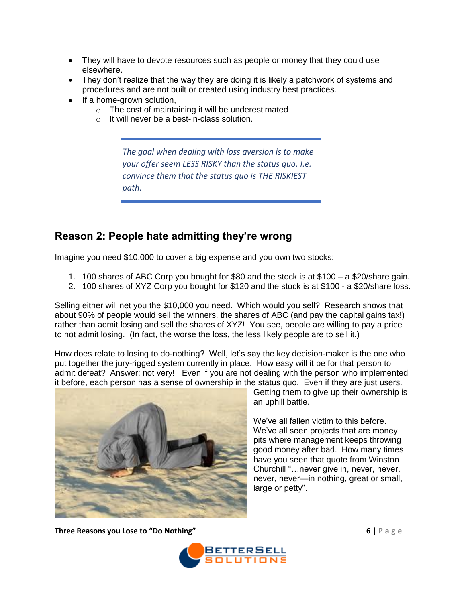- They will have to devote resources such as people or money that they could use elsewhere.
- They don't realize that the way they are doing it is likely a patchwork of systems and procedures and are not built or created using industry best practices.
- If a home-grown solution,
	- o The cost of maintaining it will be underestimated
	- o It will never be a best-in-class solution.

*The goal when dealing with loss aversion is to make your offer seem LESS RISKY than the status quo. I.e. convince them that the status quo is THE RISKIEST path.*

## **Reason 2: People hate admitting they're wrong**

Imagine you need \$10,000 to cover a big expense and you own two stocks:

- 1. 100 shares of ABC Corp you bought for \$80 and the stock is at \$100 a \$20/share gain.
- 2. 100 shares of XYZ Corp you bought for \$120 and the stock is at \$100 a \$20/share loss.

Selling either will net you the \$10,000 you need. Which would you sell? Research shows that about 90% of people would sell the winners, the shares of ABC (and pay the capital gains tax!) rather than admit losing and sell the shares of XYZ! You see, people are willing to pay a price to not admit losing. (In fact, the worse the loss, the less likely people are to sell it.)

How does relate to losing to do-nothing? Well, let's say the key decision-maker is the one who put together the jury-rigged system currently in place. How easy will it be for that person to admit defeat? Answer: not very! Even if you are not dealing with the person who implemented it before, each person has a sense of ownership in the status quo. Even if they are just users.



Getting them to give up their ownership is an uphill battle.

We've all fallen victim to this before. We've all seen projects that are money pits where management keeps throwing good money after bad. How many times have you seen that quote from Winston Churchill "…never give in, never, never, never, never—in nothing, great or small, large or petty".

**Three Reasons you Lose to "Do Nothing" 6 | P a g e**

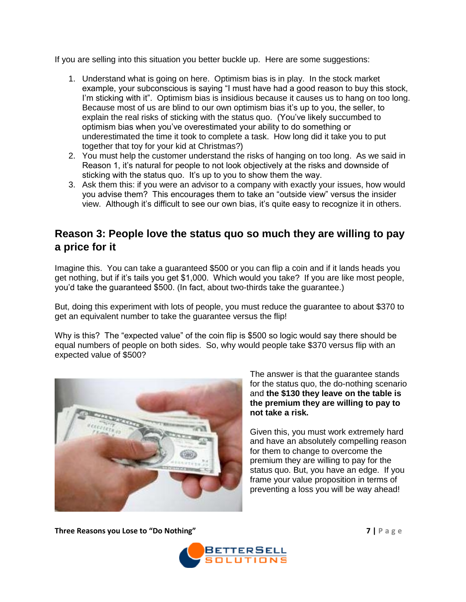If you are selling into this situation you better buckle up. Here are some suggestions:

- 1. Understand what is going on here. Optimism bias is in play. In the stock market example, your subconscious is saying "I must have had a good reason to buy this stock, I'm sticking with it". Optimism bias is insidious because it causes us to hang on too long. Because most of us are blind to our own optimism bias it's up to you, the seller, to explain the real risks of sticking with the status quo. (You've likely succumbed to optimism bias when you've overestimated your ability to do something or underestimated the time it took to complete a task. How long did it take you to put together that toy for your kid at Christmas?)
- 2. You must help the customer understand the risks of hanging on too long. As we said in Reason 1, it's natural for people to not look objectively at the risks and downside of sticking with the status quo. It's up to you to show them the way.
- 3. Ask them this: if you were an advisor to a company with exactly your issues, how would you advise them? This encourages them to take an "outside view" versus the insider view. Although it's difficult to see our own bias, it's quite easy to recognize it in others.

## **Reason 3: People love the status quo so much they are willing to pay a price for it**

Imagine this. You can take a guaranteed \$500 or you can flip a coin and if it lands heads you get nothing, but if it's tails you get \$1,000. Which would you take? If you are like most people, you'd take the guaranteed \$500. (In fact, about two-thirds take the guarantee.)

But, doing this experiment with lots of people, you must reduce the guarantee to about \$370 to get an equivalent number to take the guarantee versus the flip!

Why is this? The "expected value" of the coin flip is \$500 so logic would say there should be equal numbers of people on both sides. So, why would people take \$370 versus flip with an expected value of \$500?



The answer is that the guarantee stands for the status quo, the do-nothing scenario and **the \$130 they leave on the table is the premium they are willing to pay to not take a risk.**

Given this, you must work extremely hard and have an absolutely compelling reason for them to change to overcome the premium they are willing to pay for the status quo. But, you have an edge. If you frame your value proposition in terms of preventing a loss you will be way ahead!

**Three Reasons you Lose to "Do Nothing" 7 | P a g e**

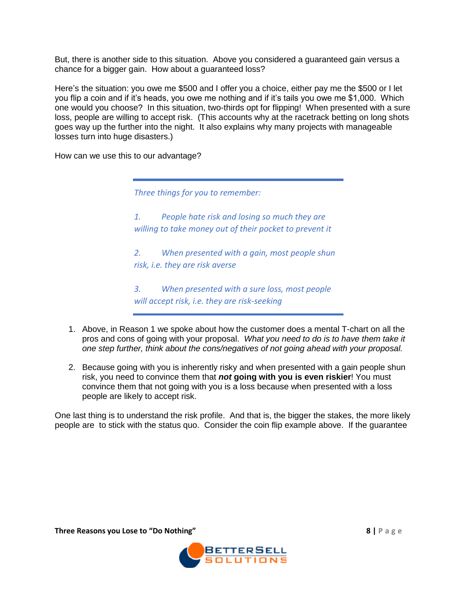But, there is another side to this situation. Above you considered a guaranteed gain versus a chance for a bigger gain. How about a guaranteed loss?

Here's the situation: you owe me \$500 and I offer you a choice, either pay me the \$500 or I let you flip a coin and if it's heads, you owe me nothing and if it's tails you owe me \$1,000. Which one would you choose? In this situation, two-thirds opt for flipping! When presented with a sure loss, people are willing to accept risk. (This accounts why at the racetrack betting on long shots goes way up the further into the night. It also explains why many projects with manageable losses turn into huge disasters.)

How can we use this to our advantage?

*Three things for you to remember:*

*1. People hate risk and losing so much they are willing to take money out of their pocket to prevent it*

*2. When presented with a gain, most people shun risk, i.e. they are risk averse*

*3. When presented with a sure loss, most people will accept risk, i.e. they are risk-seeking*

- 1. Above, in Reason 1 we spoke about how the customer does a mental T-chart on all the pros and cons of going with your proposal. *What you need to do is to have them take it one step further, think about the cons/negatives of not going ahead with your proposal.*
- 2. Because going with you is inherently risky and when presented with a gain people shun risk, you need to convince them that *not* **going with you is even riskier**! You must convince them that not going with you is a loss because when presented with a loss people are likely to accept risk.

One last thing is to understand the risk profile. And that is, the bigger the stakes, the more likely people are to stick with the status quo. Consider the coin flip example above. If the guarantee

**Three Reasons you Lose to "Do Nothing" 8 | P a g e**

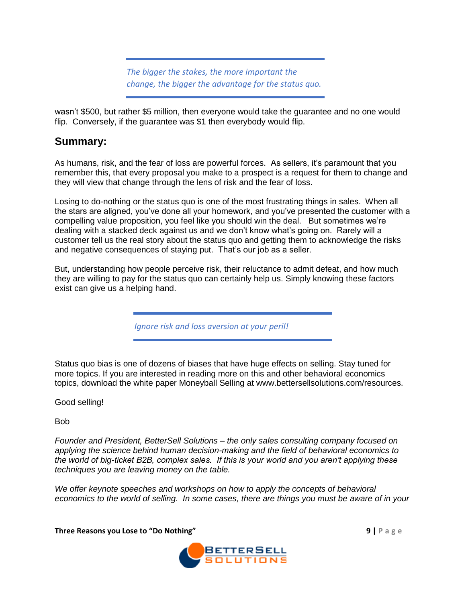*The bigger the stakes, the more important the change, the bigger the advantage for the status quo.*

wasn't \$500, but rather \$5 million, then everyone would take the guarantee and no one would flip. Conversely, if the guarantee was \$1 then everybody would flip.

## **Summary:**

As humans, risk, and the fear of loss are powerful forces. As sellers, it's paramount that you remember this, that every proposal you make to a prospect is a request for them to change and they will view that change through the lens of risk and the fear of loss.

Losing to do-nothing or the status quo is one of the most frustrating things in sales. When all the stars are aligned, you've done all your homework, and you've presented the customer with a compelling value proposition, you feel like you should win the deal. But sometimes we're dealing with a stacked deck against us and we don't know what's going on. Rarely will a customer tell us the real story about the status quo and getting them to acknowledge the risks and negative consequences of staying put. That's our job as a seller.

But, understanding how people perceive risk, their reluctance to admit defeat, and how much they are willing to pay for the status quo can certainly help us. Simply knowing these factors exist can give us a helping hand.

*Ignore risk and loss aversion at your peril!*

Status quo bias is one of dozens of biases that have huge effects on selling. Stay tuned for more topics. If you are interested in reading more on this and other behavioral economics topics, download the white paper Moneyball Selling at www.bettersellsolutions.com/resources.

Good selling!

Bob

*Founder and President, BetterSell Solutions – the only sales consulting company focused on applying the science behind human decision-making and the field of behavioral economics to the world of big-ticket B2B, complex sales. If this is your world and you aren't applying these techniques you are leaving money on the table.*

*We offer keynote speeches and workshops on how to apply the concepts of behavioral economics to the world of selling. In some cases, there are things you must be aware of in your* 

**Three Reasons you Lose to "Do Nothing" 9 | P a g e**